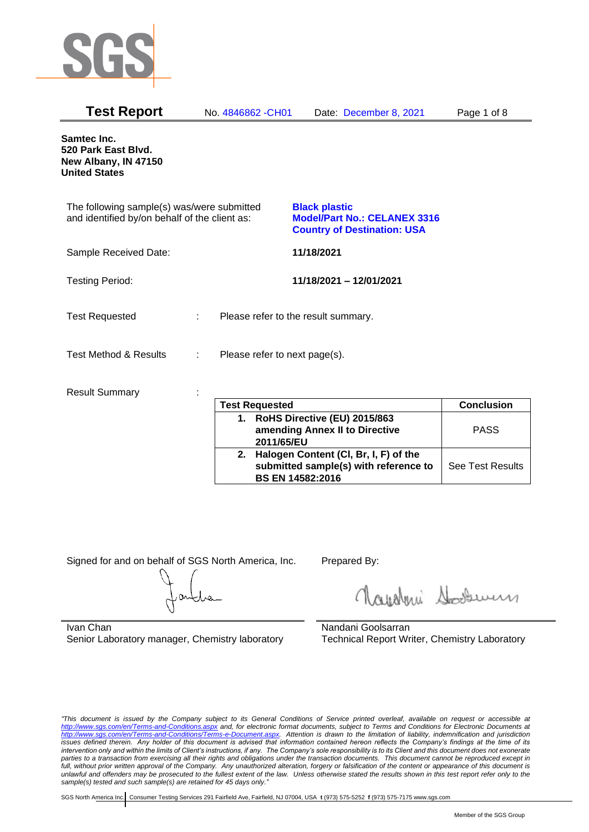

| <b>Test Report</b>                                                                          | No. 4846862 - CH01            | Date: December 8, 2021                                                                            | Page 1 of 8 |
|---------------------------------------------------------------------------------------------|-------------------------------|---------------------------------------------------------------------------------------------------|-------------|
| Samtec Inc.<br>520 Park East Blvd.<br>New Albany, IN 47150<br><b>United States</b>          |                               |                                                                                                   |             |
| The following sample(s) was/were submitted<br>and identified by/on behalf of the client as: |                               | <b>Black plastic</b><br><b>Model/Part No.: CELANEX 3316</b><br><b>Country of Destination: USA</b> |             |
| Sample Received Date:                                                                       |                               | 11/18/2021                                                                                        |             |
| <b>Testing Period:</b>                                                                      |                               | 11/18/2021 - 12/01/2021                                                                           |             |
| <b>Test Requested</b>                                                                       | ÷.                            | Please refer to the result summary.                                                               |             |
| <b>Test Method &amp; Results</b>                                                            | Please refer to next page(s). |                                                                                                   |             |
| <b>Result Summary</b>                                                                       |                               |                                                                                                   |             |

| <b>Test Requested</b>                                                                                        | <b>Conclusion</b>       |
|--------------------------------------------------------------------------------------------------------------|-------------------------|
| 1. RoHS Directive (EU) 2015/863<br>amending Annex II to Directive<br>2011/65/EU                              | <b>PASS</b>             |
| 2. Halogen Content (CI, Br, I, F) of the<br>submitted sample(s) with reference to<br><b>BS EN 14582:2016</b> | <b>See Test Results</b> |

Signed for and on behalf of SGS North America, Inc. Prepared By:

Roughan Souri

Ivan Chan Senior Laboratory manager, Chemistry laboratory

Nandani Goolsarran Technical Report Writer, Chemistry Laboratory

*"This document is issued by the Company subject to its General Conditions of Service printed overleaf, available on request or accessible at <http://www.sgs.com/en/Terms-and-Conditions.aspx> and, for electronic format documents, subject to Terms and Conditions for Electronic Documents at [http://www.sgs.com/en/Terms-and-Conditions/Terms-e-Document.aspx.](http://www.sgs.com/en/Terms-and-Conditions/Terms-e-Document.aspx) Attention is drawn to the limitation of liability, indemnification and jurisdiction issues defined therein. Any holder of this document is advised that information contained hereon reflects the Company's findings at the time of its intervention only and within the limits of Client's instructions, if any. The Company's sole responsibility is to its Client and this document does not exonerate parties to a transaction from exercising all their rights and obligations under the transaction documents. This document cannot be reproduced except in full, without prior written approval of the Company. Any unauthorized alteration, forgery or falsification of the content or appearance of this document is unlawful and offenders may be prosecuted to the fullest extent of the law. Unless otherwise stated the results shown in this test report refer only to the sample(s) tested and such sample(s) are retained for 45 days only."*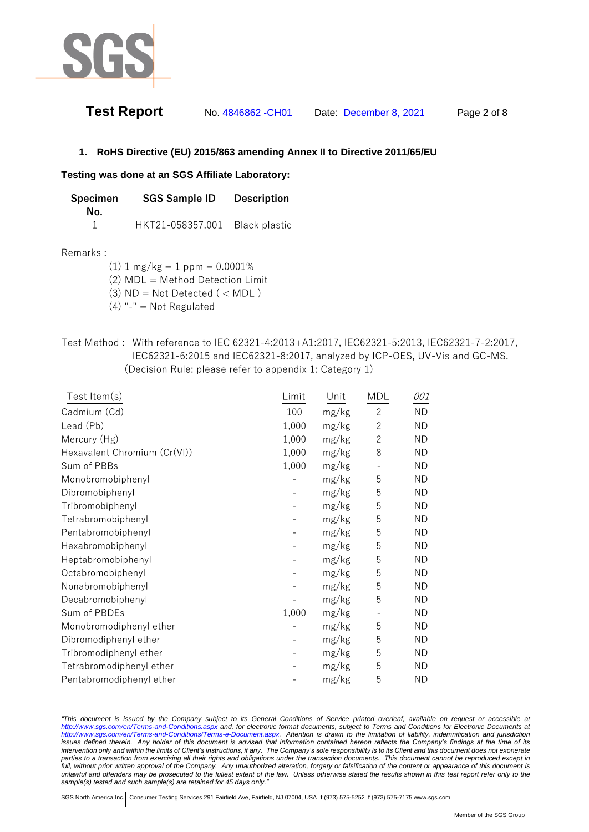

| Test Report | No. 4846862 - CH01 | Date: December 8, 2021 | Page 2 of 8 |
|-------------|--------------------|------------------------|-------------|
|-------------|--------------------|------------------------|-------------|

## **1. RoHS Directive (EU) 2015/863 amending Annex II to Directive 2011/65/EU**

### **Testing was done at an SGS Affiliate Laboratory:**

| <b>SGS Sample ID</b><br><b>Specimen</b> |                                | <b>Description</b> |  |
|-----------------------------------------|--------------------------------|--------------------|--|
| No.                                     |                                |                    |  |
|                                         | HKT21-058357.001 Black plastic |                    |  |

#### Remarks :

(1)  $1 \text{ mg/kg} = 1 \text{ ppm} = 0.0001\%$ 

(2) MDL = Method Detection Limit

 $(3)$  ND = Not Detected  $($  < MDL)

 $(4)$  "-" = Not Regulated

# Test Method : With reference to IEC 62321-4:2013+A1:2017, IEC62321-5:2013, IEC62321-7-2:2017, IEC62321-6:2015 and IEC62321-8:2017, analyzed by ICP-OES, UV-Vis and GC-MS. (Decision Rule: please refer to appendix 1: Category 1)

| Test Item $(s)$              | Limit | Unit  | <b>MDL</b>     | 001       |
|------------------------------|-------|-------|----------------|-----------|
| Cadmium (Cd)                 | 100   | mg/kg | $\mathbf{2}$   | <b>ND</b> |
| Lead (Pb)                    | 1,000 | mg/kg | $\overline{c}$ | <b>ND</b> |
| Mercury (Hg)                 | 1,000 | mg/kg | $\mathbf{2}$   | <b>ND</b> |
| Hexavalent Chromium (Cr(VI)) | 1,000 | mg/kg | 8              | <b>ND</b> |
| Sum of PBBs                  | 1,000 | mg/kg | $\overline{a}$ | <b>ND</b> |
| Monobromobiphenyl            |       | mg/kg | 5              | <b>ND</b> |
| Dibromobiphenyl              |       | mg/kg | 5              | <b>ND</b> |
| Tribromobiphenyl             |       | mg/kg | 5              | <b>ND</b> |
| Tetrabromobiphenyl           |       | mg/kg | 5              | <b>ND</b> |
| Pentabromobiphenyl           |       | mg/kg | 5              | <b>ND</b> |
| Hexabromobiphenyl            |       | mg/kg | 5              | <b>ND</b> |
| Heptabromobiphenyl           |       | mg/kg | 5              | <b>ND</b> |
| Octabromobiphenyl            |       | mg/kg | 5              | <b>ND</b> |
| Nonabromobiphenyl            |       | mg/kg | 5              | <b>ND</b> |
| Decabromobiphenyl            |       | mg/kg | 5              | <b>ND</b> |
| Sum of PBDEs                 | 1,000 | mg/kg |                | <b>ND</b> |
| Monobromodiphenyl ether      |       | mg/kg | 5              | <b>ND</b> |
| Dibromodiphenyl ether        |       | mg/kg | 5              | <b>ND</b> |
| Tribromodiphenyl ether       |       | mg/kg | 5              | <b>ND</b> |
| Tetrabromodiphenyl ether     |       | mg/kg | 5              | <b>ND</b> |
| Pentabromodiphenyl ether     |       | mg/kg | 5              | <b>ND</b> |

*"This document is issued by the Company subject to its General Conditions of Service printed overleaf, available on request or accessible at <http://www.sgs.com/en/Terms-and-Conditions.aspx> and, for electronic format documents, subject to Terms and Conditions for Electronic Documents at [http://www.sgs.com/en/Terms-and-Conditions/Terms-e-Document.aspx.](http://www.sgs.com/en/Terms-and-Conditions/Terms-e-Document.aspx) Attention is drawn to the limitation of liability, indemnification and jurisdiction issues defined therein. Any holder of this document is advised that information contained hereon reflects the Company's findings at the time of its intervention only and within the limits of Client's instructions, if any. The Company's sole responsibility is to its Client and this document does not exonerate parties to a transaction from exercising all their rights and obligations under the transaction documents. This document cannot be reproduced except in full, without prior written approval of the Company. Any unauthorized alteration, forgery or falsification of the content or appearance of this document is unlawful and offenders may be prosecuted to the fullest extent of the law. Unless otherwise stated the results shown in this test report refer only to the sample(s) tested and such sample(s) are retained for 45 days only."*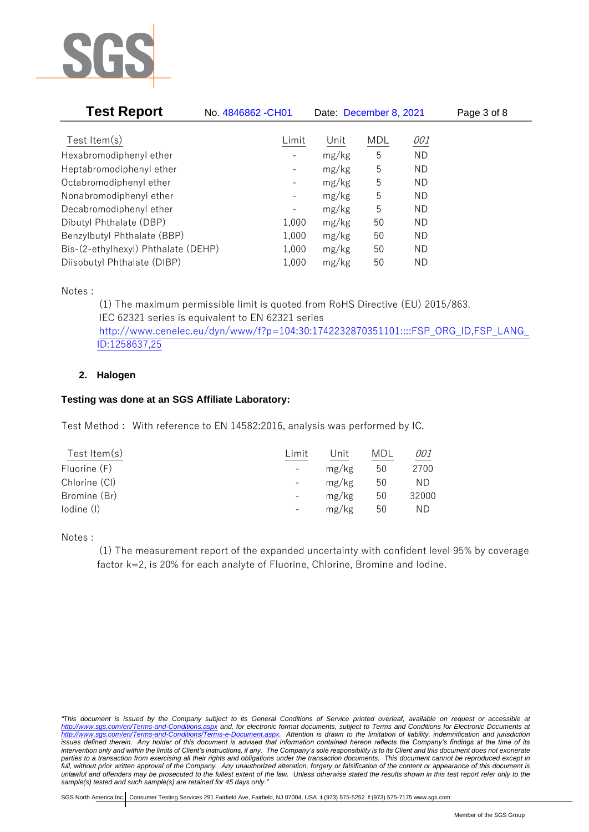

| <b>Test Report</b>                  | No. 4846862 - CH01           | Date: December 8, 2021 |     | Page 3 of 8 |  |
|-------------------------------------|------------------------------|------------------------|-----|-------------|--|
|                                     |                              |                        |     |             |  |
| Test Item $(s)$                     | Limit                        | Unit                   | MDL | 001         |  |
| Hexabromodiphenyl ether             |                              | mg/kg                  | 5   | <b>ND</b>   |  |
| Heptabromodiphenyl ether            |                              | mg/kg                  | 5   | ND          |  |
| Octabromodiphenyl ether             | $\qquad \qquad \blacksquare$ | mg/kg                  | 5   | ND          |  |
| Nonabromodiphenyl ether             | -                            | mg/kg                  | 5   | ND          |  |
| Decabromodiphenyl ether             | $\qquad \qquad \blacksquare$ | mg/kg                  | 5   | ND          |  |
| Dibutyl Phthalate (DBP)             | 1,000                        | mg/kg                  | 50  | ND          |  |
| Benzylbutyl Phthalate (BBP)         | 1,000                        | mg/kg                  | 50  | ND          |  |
| Bis-(2-ethylhexyl) Phthalate (DEHP) | 1,000                        | mg/kg                  | 50  | ND          |  |
| Diisobutyl Phthalate (DIBP)         | 1,000                        | mg/kg                  | 50  | ΝD          |  |

Notes :

(1) The maximum permissible limit is quoted from RoHS Directive (EU) 2015/863. IEC 62321 series is equivalent to EN 62321 series [http://www.cenelec.eu/dyn/www/f?p=104:30:1742232870351101::::FSP\\_ORG\\_ID,FSP\\_LANG\\_](http://www.cenelec.eu/dyn/www/f?p=104:30:1742232870351101::::FSP_ORG_ID,FSP_LANG_ID:1258637,25) [ID:1258637,25](http://www.cenelec.eu/dyn/www/f?p=104:30:1742232870351101::::FSP_ORG_ID,FSP_LANG_ID:1258637,25)

# **2. Halogen**

# **Testing was done at an SGS Affiliate Laboratory:**

Test Method : With reference to EN 14582:2016, analysis was performed by IC.

| Test Item $(s)$ | Limit                    | Unit  | MDL | <i>001</i> |
|-----------------|--------------------------|-------|-----|------------|
| Fluorine (F)    | $\overline{\phantom{a}}$ | mg/kg | 50  | 2700       |
| Chlorine (CI)   | $\overline{\phantom{a}}$ | mg/kg | 50  | ND.        |
| Bromine (Br)    | $\overline{\phantom{a}}$ | mg/kg | 50  | 32000      |
| lodine (I)      |                          | mg/kg | 50  | ND         |
|                 |                          |       |     |            |

Notes :

(1) The measurement report of the expanded uncertainty with confident level 95% by coverage factor k=2, is 20% for each analyte of Fluorine, Chlorine, Bromine and Iodine.

*<sup>&</sup>quot;This document is issued by the Company subject to its General Conditions of Service printed overleaf, available on request or accessible at <http://www.sgs.com/en/Terms-and-Conditions.aspx> and, for electronic format documents, subject to Terms and Conditions for Electronic Documents at [http://www.sgs.com/en/Terms-and-Conditions/Terms-e-Document.aspx.](http://www.sgs.com/en/Terms-and-Conditions/Terms-e-Document.aspx) Attention is drawn to the limitation of liability, indemnification and jurisdiction issues defined therein. Any holder of this document is advised that information contained hereon reflects the Company's findings at the time of its intervention only and within the limits of Client's instructions, if any. The Company's sole responsibility is to its Client and this document does not exonerate parties to a transaction from exercising all their rights and obligations under the transaction documents. This document cannot be reproduced except in full, without prior written approval of the Company. Any unauthorized alteration, forgery or falsification of the content or appearance of this document is unlawful and offenders may be prosecuted to the fullest extent of the law. Unless otherwise stated the results shown in this test report refer only to the sample(s) tested and such sample(s) are retained for 45 days only."*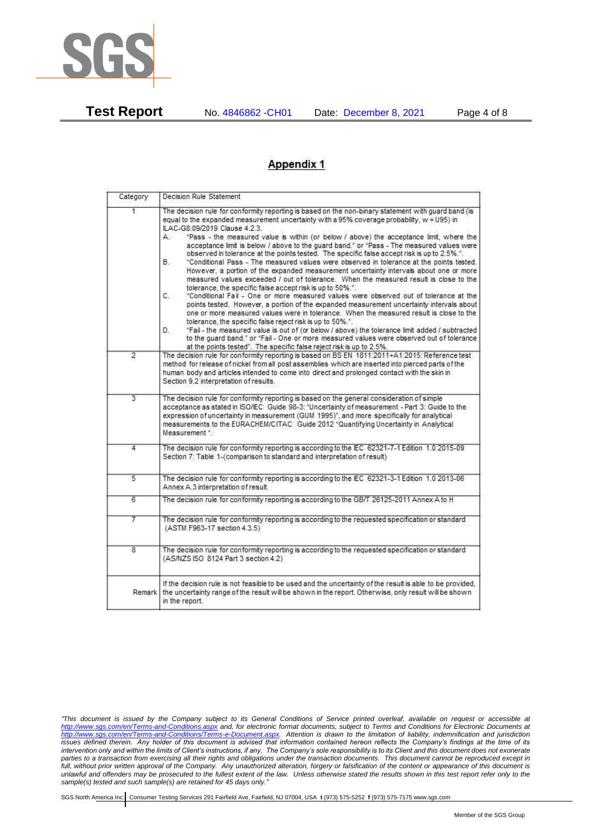

**Test Report** No. 4846862 -CH01 Date: December 8, 2021 Page 4 of 8

# **Appendix 1**

| Category       | Decision Rule Statement                                                                                                                                                                                                                                                                                                                                                                                                                                                                                                                                                                                                                                                                                                                                                                                                                                                                                                                                                                                                                                                                                                                                                                                                                                                                                                                                                                                                                                                                                            |  |  |  |
|----------------|--------------------------------------------------------------------------------------------------------------------------------------------------------------------------------------------------------------------------------------------------------------------------------------------------------------------------------------------------------------------------------------------------------------------------------------------------------------------------------------------------------------------------------------------------------------------------------------------------------------------------------------------------------------------------------------------------------------------------------------------------------------------------------------------------------------------------------------------------------------------------------------------------------------------------------------------------------------------------------------------------------------------------------------------------------------------------------------------------------------------------------------------------------------------------------------------------------------------------------------------------------------------------------------------------------------------------------------------------------------------------------------------------------------------------------------------------------------------------------------------------------------------|--|--|--|
| 1              | The decision rule for conformity reporting is based on the non-binary statement with guard band (is<br>equal to the expanded measurement uncertainty with a 95% coverage probability, w = U95) in<br>ILAC-G8:09/2019 Clause 4.2.3.<br>"Pass - the measured value is within (or below / above) the acceptance limit, where the<br>А.<br>acceptance limit is below / above to the quard band," or "Pass - The measured values were<br>observed in tolerance at the points tested. The specific false accept risk is up to 2.5%.".<br>"Conditional Pass - The measured values were observed in tolerance at the points tested.<br>В.<br>However, a portion of the expanded measurement uncertainty intervals about one or more<br>measured values exceeded / out of tolerance. When the measured result is close to the<br>tolerance, the specific false accept risk is up to 50%.".<br>C.<br>"Conditional Fail - One or more measured values were observed out of tolerance at the<br>points tested. However, a portion of the expanded measurement uncertainty intervals about<br>one or more measured values were in tolerance. When the measured result is close to the<br>tolerance, the specific false reject risk is up to 50%.".<br>"Fail - the measured value is out of (or below / above) the tolerance limit added / subtracted<br>D.<br>to the quard band." or "Fail - One or more measured values were observed out of tolerance<br>at the points tested". The specific false reject risk is up to 2.5%. |  |  |  |
| $\overline{2}$ | The decision rule for conformity reporting is based on BS EN 1811:2011+A1:2015: Reference test<br>method for release of nickel from all post assemblies which are inserted into pierced parts of the<br>human body and articles intended to come into direct and prolonged contact with the skin in<br>Section 9.2 interpretation of results.                                                                                                                                                                                                                                                                                                                                                                                                                                                                                                                                                                                                                                                                                                                                                                                                                                                                                                                                                                                                                                                                                                                                                                      |  |  |  |
| $\overline{3}$ | The decision rule for conformity reporting is based on the general consideration of simple<br>acceptance as stated in ISO/IEC Guide 98-3: "Uncertainty of measurement - Part 3: Guide to the<br>expression of uncertainty in measurement (GUM 1995)", and more specifically for analytical<br>measurements to the EURACHEM/CITAC Guide 2012 "Quantifying Uncertainty in Analytical<br>Measurement *.                                                                                                                                                                                                                                                                                                                                                                                                                                                                                                                                                                                                                                                                                                                                                                                                                                                                                                                                                                                                                                                                                                               |  |  |  |
| 4              | The decision rule for conformity reporting is according to the IEC 62321-7-1 Edition 1.0 2015-09<br>Section 7: Table 1-(comparison to standard and interpretation of result)                                                                                                                                                                                                                                                                                                                                                                                                                                                                                                                                                                                                                                                                                                                                                                                                                                                                                                                                                                                                                                                                                                                                                                                                                                                                                                                                       |  |  |  |
| $\overline{5}$ | The decision rule for conformity reporting is according to the IEC 62321-3-1 Edition 1.0 2013-06<br>Annex A.3 interpretation of result.                                                                                                                                                                                                                                                                                                                                                                                                                                                                                                                                                                                                                                                                                                                                                                                                                                                                                                                                                                                                                                                                                                                                                                                                                                                                                                                                                                            |  |  |  |
| $\overline{6}$ | The decision rule for conformity reporting is according to the GB/T 26125-2011 Annex A to H                                                                                                                                                                                                                                                                                                                                                                                                                                                                                                                                                                                                                                                                                                                                                                                                                                                                                                                                                                                                                                                                                                                                                                                                                                                                                                                                                                                                                        |  |  |  |
| 7              | The decision rule for conformity reporting is according to the requested specification or standard<br>(ASTM F963-17 section 4.3.5)                                                                                                                                                                                                                                                                                                                                                                                                                                                                                                                                                                                                                                                                                                                                                                                                                                                                                                                                                                                                                                                                                                                                                                                                                                                                                                                                                                                 |  |  |  |
| 8              | The decision rule for conformity reporting is according to the requested specification or standard<br>(AS/NZS ISO 8124 Part 3 section 4.2)                                                                                                                                                                                                                                                                                                                                                                                                                                                                                                                                                                                                                                                                                                                                                                                                                                                                                                                                                                                                                                                                                                                                                                                                                                                                                                                                                                         |  |  |  |
| Remark         | If the decision rule is not feasible to be used and the uncertainty of the result is able to be provided,<br>the uncertainty range of the result will be shown in the report. Otherwise, only result will be shown<br>in the report.                                                                                                                                                                                                                                                                                                                                                                                                                                                                                                                                                                                                                                                                                                                                                                                                                                                                                                                                                                                                                                                                                                                                                                                                                                                                               |  |  |  |

*"This document is issued by the Company subject to its General Conditions of Service printed overleaf, available on request or accessible at <http://www.sgs.com/en/Terms-and-Conditions.aspx> and, for electronic format documents, subject to Terms and Conditions for Electronic Documents at [http://www.sgs.com/en/Terms-and-Conditions/Terms-e-Document.aspx.](http://www.sgs.com/en/Terms-and-Conditions/Terms-e-Document.aspx) Attention is drawn to the limitation of liability, indemnification and jurisdiction issues defined therein. Any holder of this document is advised that information contained hereon reflects the Company's findings at the time of its intervention only and within the limits of Client's instructions, if any. The Company's sole responsibility is to its Client and this document does not exonerate parties to a transaction from exercising all their rights and obligations under the transaction documents. This document cannot be reproduced except in full, without prior written approval of the Company. Any unauthorized alteration, forgery or falsification of the content or appearance of this document is unlawful and offenders may be prosecuted to the fullest extent of the law. Unless otherwise stated the results shown in this test report refer only to the sample(s) tested and such sample(s) are retained for 45 days only."*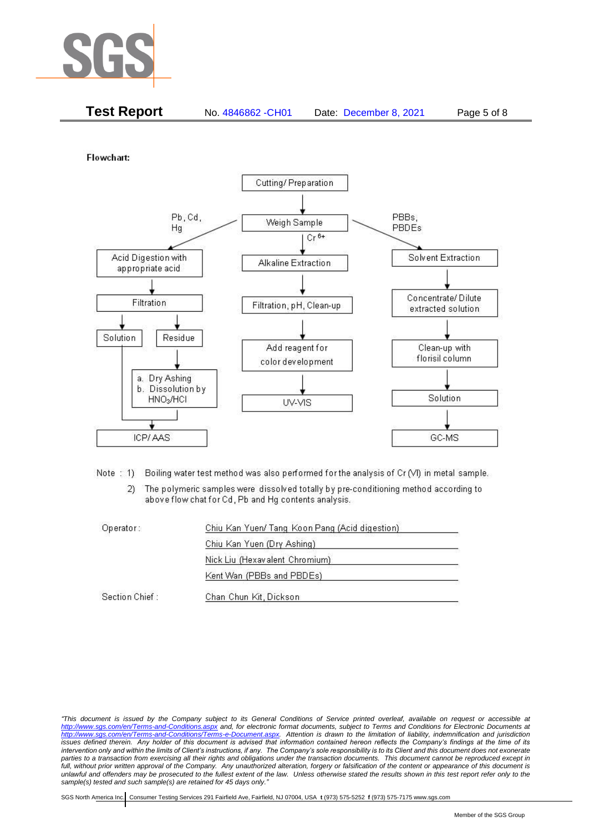

| <b>Test Report</b> | No. 4846862 - CH01 | Date: December 8, 2021 | Page 5 of 8 |
|--------------------|--------------------|------------------------|-------------|
|                    |                    |                        |             |

Flowchart:



- Note: 1) Boiling water test method was also performed for the analysis of Cr (VI) in metal sample.
	- $2)$ The polymeric samples were dissolved totally by pre-conditioning method according to above flow chat for Cd, Pb and Hg contents analysis.

| Operator:      | Chiu Kan Yuen/ Tang Koon Pang (Acid digestion) |  |
|----------------|------------------------------------------------|--|
|                | Chiu Kan Yuen (Dry Ashing)                     |  |
|                | Nick Liu (Hexavalent Chromium)                 |  |
|                | Kent Wan (PBBs and PBDEs)                      |  |
| Section Chief: | Chan Chun Kit, Dickson                         |  |

*<sup>&</sup>quot;This document is issued by the Company subject to its General Conditions of Service printed overleaf, available on request or accessible at <http://www.sgs.com/en/Terms-and-Conditions.aspx> and, for electronic format documents, subject to Terms and Conditions for Electronic Documents at [http://www.sgs.com/en/Terms-and-Conditions/Terms-e-Document.aspx.](http://www.sgs.com/en/Terms-and-Conditions/Terms-e-Document.aspx) Attention is drawn to the limitation of liability, indemnification and jurisdiction issues defined therein. Any holder of this document is advised that information contained hereon reflects the Company's findings at the time of its intervention only and within the limits of Client's instructions, if any. The Company's sole responsibility is to its Client and this document does not exonerate*  parties to a transaction from exercising all their rights and obligations under the transaction documents. This document cannot be reproduced except in *full, without prior written approval of the Company. Any unauthorized alteration, forgery or falsification of the content or appearance of this document is unlawful and offenders may be prosecuted to the fullest extent of the law. Unless otherwise stated the results shown in this test report refer only to the sample(s) tested and such sample(s) are retained for 45 days only."*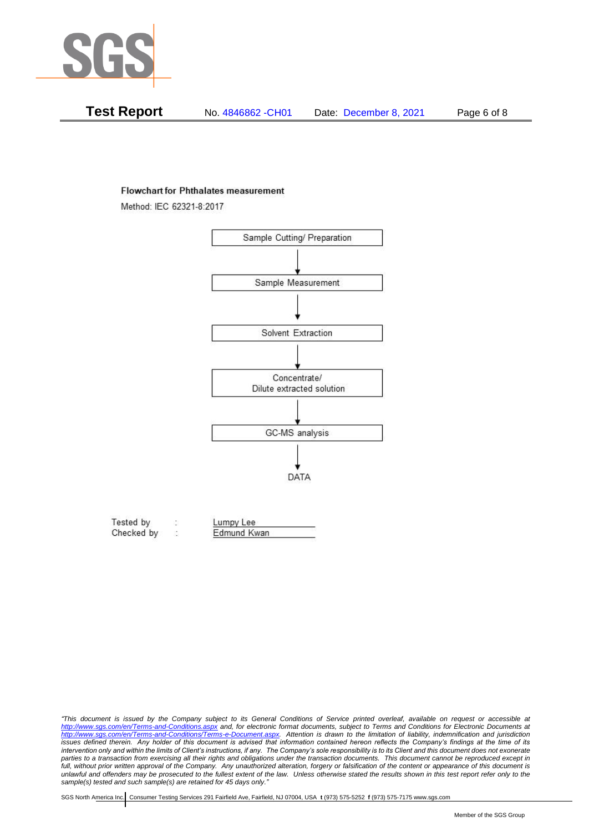

| Test Report | No. 4846862 - CH01 | Date: December 8, 2021 | Page 6 of 8 |
|-------------|--------------------|------------------------|-------------|
|-------------|--------------------|------------------------|-------------|

#### **Flowchart for Phthalates measurement**

Method: IEC 62321-8:2017



| Tested by  | Lumpy Lee   |  |
|------------|-------------|--|
| Checked by | Edmund Kwan |  |

*<sup>&</sup>quot;This document is issued by the Company subject to its General Conditions of Service printed overleaf, available on request or accessible at <http://www.sgs.com/en/Terms-and-Conditions.aspx> and, for electronic format documents, subject to Terms and Conditions for Electronic Documents at [http://www.sgs.com/en/Terms-and-Conditions/Terms-e-Document.aspx.](http://www.sgs.com/en/Terms-and-Conditions/Terms-e-Document.aspx) Attention is drawn to the limitation of liability, indemnification and jurisdiction issues defined therein. Any holder of this document is advised that information contained hereon reflects the Company's findings at the time of its intervention only and within the limits of Client's instructions, if any. The Company's sole responsibility is to its Client and this document does not exonerate*  parties to a transaction from exercising all their rights and obligations under the transaction documents. This document cannot be reproduced except in *full, without prior written approval of the Company. Any unauthorized alteration, forgery or falsification of the content or appearance of this document is unlawful and offenders may be prosecuted to the fullest extent of the law. Unless otherwise stated the results shown in this test report refer only to the sample(s) tested and such sample(s) are retained for 45 days only."*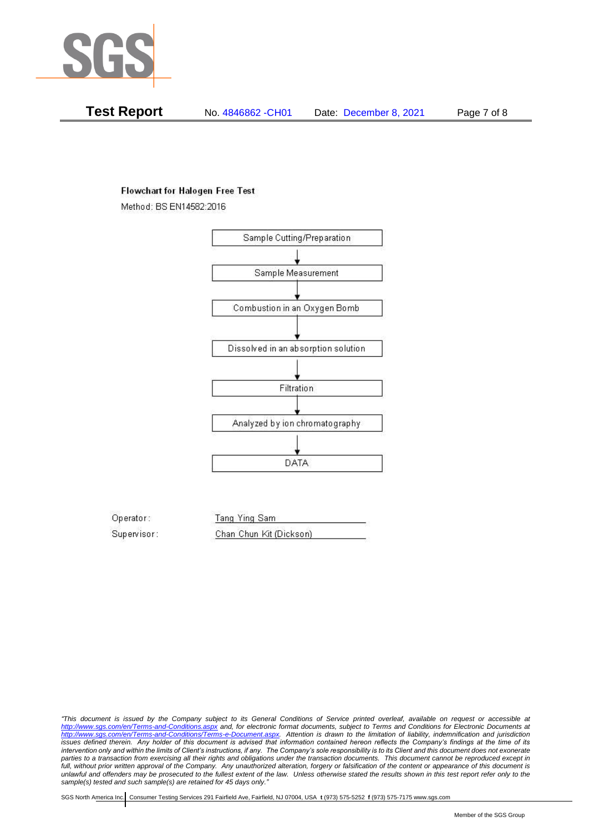

**Test Report** No. 4846862 -CH01 Date: December 8, 2021 Page 7 of 8

### **Flowchart for Halogen Free Test**

Method: BS EN14582:2016



Operator: Tang Ying Sam Supervisor: Chan Chun Kit (Dickson)

*"This document is issued by the Company subject to its General Conditions of Service printed overleaf, available on request or accessible at <http://www.sgs.com/en/Terms-and-Conditions.aspx> and, for electronic format documents, subject to Terms and Conditions for Electronic Documents at [http://www.sgs.com/en/Terms-and-Conditions/Terms-e-Document.aspx.](http://www.sgs.com/en/Terms-and-Conditions/Terms-e-Document.aspx) Attention is drawn to the limitation of liability, indemnification and jurisdiction issues defined therein. Any holder of this document is advised that information contained hereon reflects the Company's findings at the time of its intervention only and within the limits of Client's instructions, if any. The Company's sole responsibility is to its Client and this document does not exonerate parties to a transaction from exercising all their rights and obligations under the transaction documents. This document cannot be reproduced except in full, without prior written approval of the Company. Any unauthorized alteration, forgery or falsification of the content or appearance of this document is unlawful and offenders may be prosecuted to the fullest extent of the law. Unless otherwise stated the results shown in this test report refer only to the sample(s) tested and such sample(s) are retained for 45 days only."*